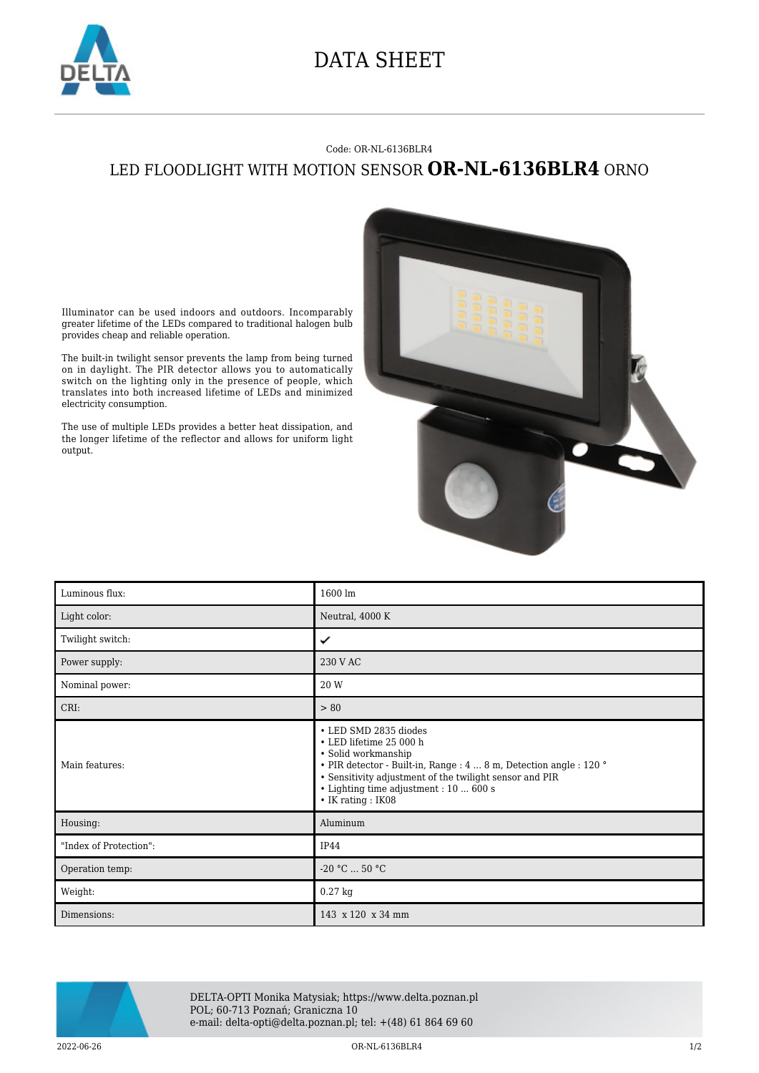

## DATA SHEET

## Code: OR-NL-6136BLR4 LED FLOODLIGHT WITH MOTION SENSOR **OR-NL-6136BLR4** ORNO

Illuminator can be used indoors and outdoors. Incomparably greater lifetime of the LEDs compared to traditional halogen bulb provides cheap and reliable operation.

The built-in twilight sensor prevents the lamp from being turned on in daylight. The PIR detector allows you to automatically switch on the lighting only in the presence of people, which translates into both increased lifetime of LEDs and minimized electricity consumption.

The use of multiple LEDs provides a better heat dissipation, and the longer lifetime of the reflector and allows for uniform light output.

| Luminous flux:         | 1600 lm                                                                                                                                                                                                                                                                              |
|------------------------|--------------------------------------------------------------------------------------------------------------------------------------------------------------------------------------------------------------------------------------------------------------------------------------|
| Light color:           | Neutral, 4000 K                                                                                                                                                                                                                                                                      |
| Twilight switch:       | ✓                                                                                                                                                                                                                                                                                    |
| Power supply:          | 230 V AC                                                                                                                                                                                                                                                                             |
| Nominal power:         | 20 W                                                                                                                                                                                                                                                                                 |
| CRI:                   | > 80                                                                                                                                                                                                                                                                                 |
| Main features:         | • LED SMD 2835 diodes<br>• LED lifetime 25 000 h<br>• Solid workmanship<br><br>• PIR detector - Built-in, Range : 4  8 m, Detection angle : 120 $^{\circ}$<br>• Sensitivity adjustment of the twilight sensor and PIR<br>• Lighting time adjustment : 10  600 s<br>• IK rating: IK08 |
| Housing:               | Aluminum                                                                                                                                                                                                                                                                             |
| "Index of Protection": | <b>IP44</b>                                                                                                                                                                                                                                                                          |
| Operation temp:        | $-20 °C  50 °C$                                                                                                                                                                                                                                                                      |
| Weight:                | $0.27$ kg                                                                                                                                                                                                                                                                            |
| Dimensions:            | 143 x 120 x 34 mm                                                                                                                                                                                                                                                                    |



DELTA-OPTI Monika Matysiak; https://www.delta.poznan.pl POL; 60-713 Poznań; Graniczna 10 e-mail: delta-opti@delta.poznan.pl; tel: +(48) 61 864 69 60